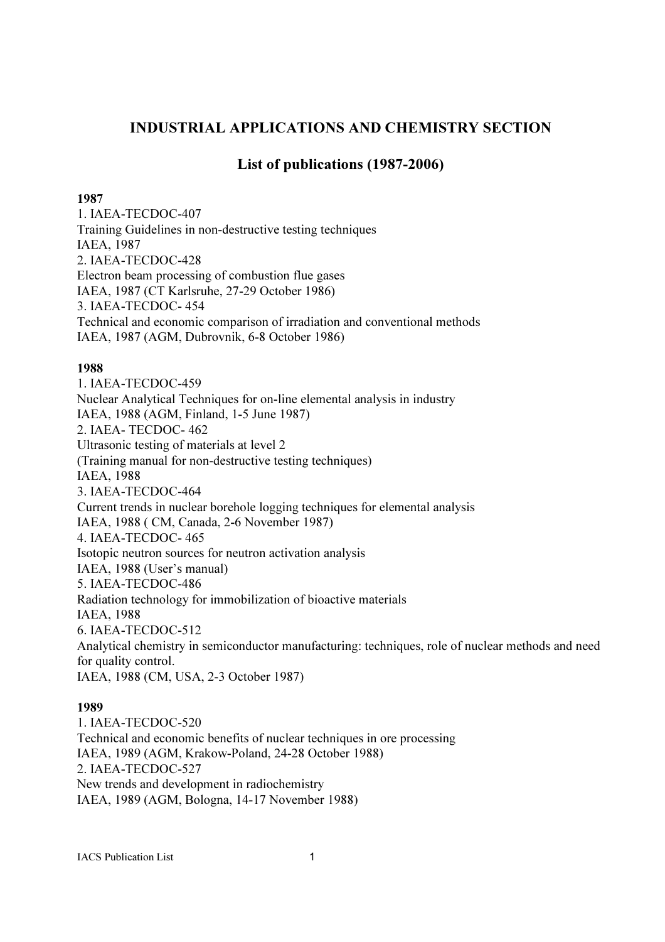# INDUSTRIAL APPLICATIONS AND CHEMISTRY SECTION

## List of publications (1987-2006)

#### 1987

1. IAEA-TECDOC-407 Training Guidelines in non-destructive testing techniques IAEA, 1987 2. IAEA-TECDOC-428 Electron beam processing of combustion flue gases IAEA, 1987 (CT Karlsruhe, 27-29 October 1986) 3. IAEA-TECDOC- 454 Technical and economic comparison of irradiation and conventional methods IAEA, 1987 (AGM, Dubrovnik, 6-8 October 1986)

#### 1988

1. IAEA-TECDOC-459 Nuclear Analytical Techniques for on-line elemental analysis in industry IAEA, 1988 (AGM, Finland, 1-5 June 1987) 2. IAEA- TECDOC- 462 Ultrasonic testing of materials at level 2 (Training manual for non-destructive testing techniques) IAEA, 1988 3. IAEA-TECDOC-464 Current trends in nuclear borehole logging techniques for elemental analysis IAEA, 1988 ( CM, Canada, 2-6 November 1987) 4. IAEA-TECDOC- 465 Isotopic neutron sources for neutron activation analysis IAEA, 1988 (User's manual) 5. IAEA-TECDOC-486 Radiation technology for immobilization of bioactive materials IAEA, 1988 6. IAEA-TECDOC-512 Analytical chemistry in semiconductor manufacturing: techniques, role of nuclear methods and need for quality control. IAEA, 1988 (CM, USA, 2-3 October 1987)

#### 1989

1. IAEA-TECDOC-520 Technical and economic benefits of nuclear techniques in ore processing IAEA, 1989 (AGM, Krakow-Poland, 24-28 October 1988) 2. IAEA-TECDOC-527 New trends and development in radiochemistry IAEA, 1989 (AGM, Bologna, 14-17 November 1988)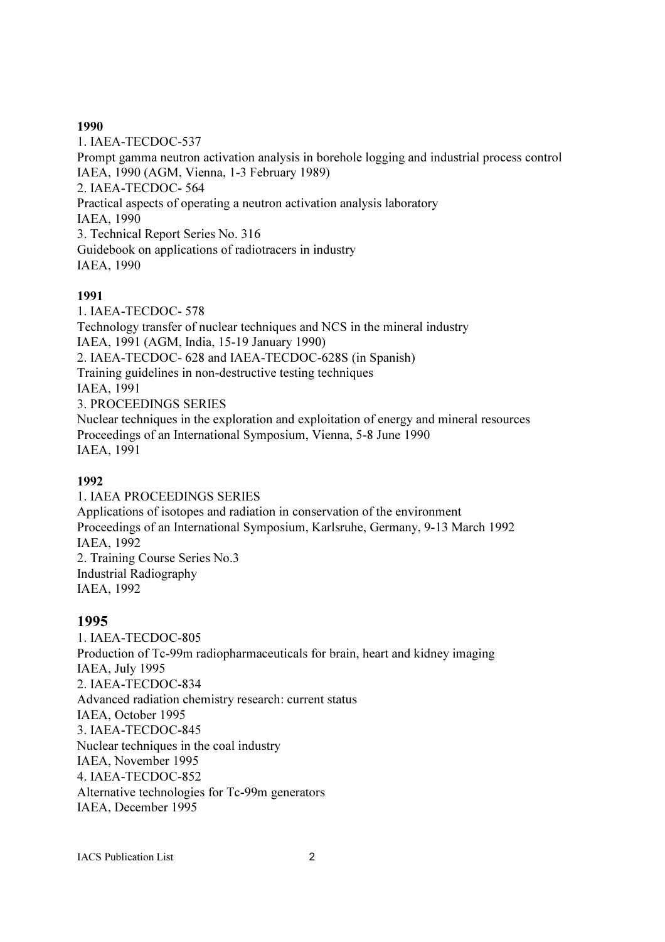#### 1990

1. IAEA-TECDOC-537 Prompt gamma neutron activation analysis in borehole logging and industrial process control IAEA, 1990 (AGM, Vienna, 1-3 February 1989) 2. IAEA-TECDOC- 564 Practical aspects of operating a neutron activation analysis laboratory IAEA, 1990 3. Technical Report Series No. 316 Guidebook on applications of radiotracers in industry IAEA, 1990

## 1991

1. IAEA-TECDOC- 578 Technology transfer of nuclear techniques and NCS in the mineral industry IAEA, 1991 (AGM, India, 15-19 January 1990) 2. IAEA-TECDOC- 628 and IAEA-TECDOC-628S (in Spanish) Training guidelines in non-destructive testing techniques IAEA, 1991 3. PROCEEDINGS SERIES Nuclear techniques in the exploration and exploitation of energy and mineral resources Proceedings of an International Symposium, Vienna, 5-8 June 1990 IAEA, 1991

## 1992

1. IAEA PROCEEDINGS SERIES Applications of isotopes and radiation in conservation of the environment Proceedings of an International Symposium, Karlsruhe, Germany, 9-13 March 1992 IAEA, 1992 2. Training Course Series No.3 Industrial Radiography IAEA, 1992

## 1995

1. IAEA-TECDOC-805 Production of Tc-99m radiopharmaceuticals for brain, heart and kidney imaging IAEA, July 1995 2. IAEA-TECDOC-834 Advanced radiation chemistry research: current status IAEA, October 1995 3. IAEA-TECDOC-845 Nuclear techniques in the coal industry IAEA, November 1995 4. IAEA-TECDOC-852 Alternative technologies for Tc-99m generators IAEA, December 1995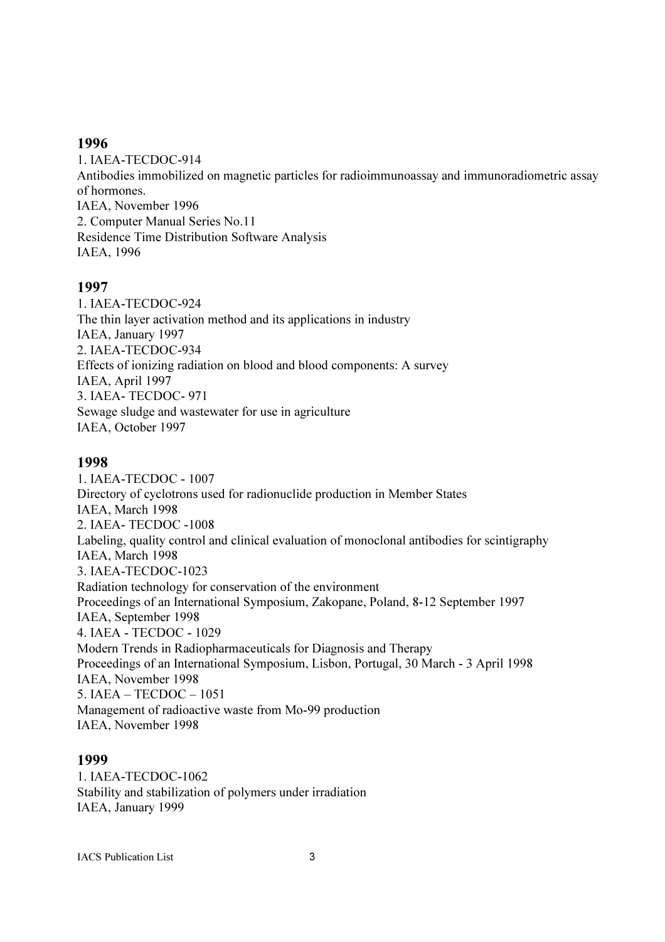#### 1996

1. IAEA-TECDOC-914 Antibodies immobilized on magnetic particles for radioimmunoassay and immunoradiometric assay of hormones. IAEA, November 1996 2. Computer Manual Series No.11 Residence Time Distribution Software Analysis IAEA, 1996

## 1997

1. IAEA-TECDOC-924 The thin layer activation method and its applications in industry IAEA, January 1997 2. IAEA-TECDOC-934 Effects of ionizing radiation on blood and blood components: A survey IAEA, April 1997 3. IAEA- TECDOC- 971 Sewage sludge and wastewater for use in agriculture IAEA, October 1997

## 1998

1. IAEA-TECDOC - 1007 Directory of cyclotrons used for radionuclide production in Member States IAEA, March 1998 2. IAEA- TECDOC -1008 Labeling, quality control and clinical evaluation of monoclonal antibodies for scintigraphy IAEA, March 1998 3. IAEA-TECDOC-1023 Radiation technology for conservation of the environment Proceedings of an International Symposium, Zakopane, Poland, 8-12 September 1997 IAEA, September 1998 4. IAEA - TECDOC - 1029 Modern Trends in Radiopharmaceuticals for Diagnosis and Therapy Proceedings of an International Symposium, Lisbon, Portugal, 30 March - 3 April 1998 IAEA, November 1998 5. IAEA – TECDOC – 1051 Management of radioactive waste from Mo-99 production IAEA, November 1998

## 1999

1. IAEA-TECDOC-1062 Stability and stabilization of polymers under irradiation IAEA, January 1999

IACS Publication List 3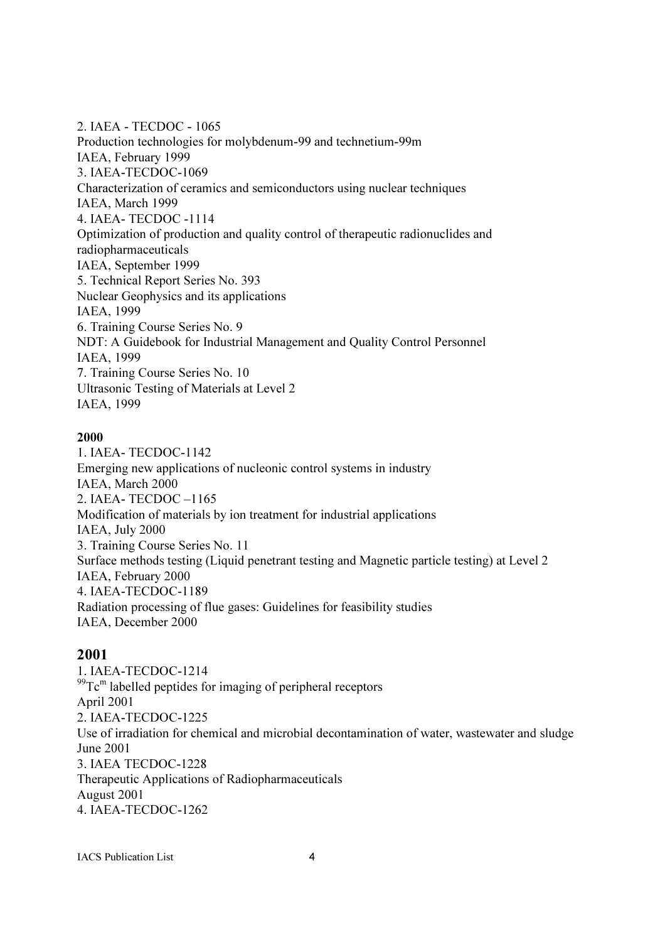2. IAEA - TECDOC - 1065 Production technologies for molybdenum-99 and technetium-99m IAEA, February 1999 3. IAEA-TECDOC-1069 Characterization of ceramics and semiconductors using nuclear techniques IAEA, March 1999 4. IAEA- TECDOC -1114 Optimization of production and quality control of therapeutic radionuclides and radiopharmaceuticals IAEA, September 1999 5. Technical Report Series No. 393 Nuclear Geophysics and its applications IAEA, 1999 6. Training Course Series No. 9 NDT: A Guidebook for Industrial Management and Quality Control Personnel IAEA, 1999 7. Training Course Series No. 10 Ultrasonic Testing of Materials at Level 2 IAEA, 1999

#### 2000

1. IAEA- TECDOC-1142 Emerging new applications of nucleonic control systems in industry IAEA, March 2000 2. IAEA- TECDOC –1165 Modification of materials by ion treatment for industrial applications IAEA, July 2000 3. Training Course Series No. 11 Surface methods testing (Liquid penetrant testing and Magnetic particle testing) at Level 2 IAEA, February 2000 4. IAEA-TECDOC-1189 Radiation processing of flue gases: Guidelines for feasibility studies IAEA, December 2000

## 2001

1. IAEA-TECDOC-1214  $^{99}$ Tc<sup>m</sup> labelled peptides for imaging of peripheral receptors April 2001 2. IAEA-TECDOC-1225 Use of irradiation for chemical and microbial decontamination of water, wastewater and sludge June 2001 3. IAEA TECDOC-1228 Therapeutic Applications of Radiopharmaceuticals August 2001 4. IAEA-TECDOC-1262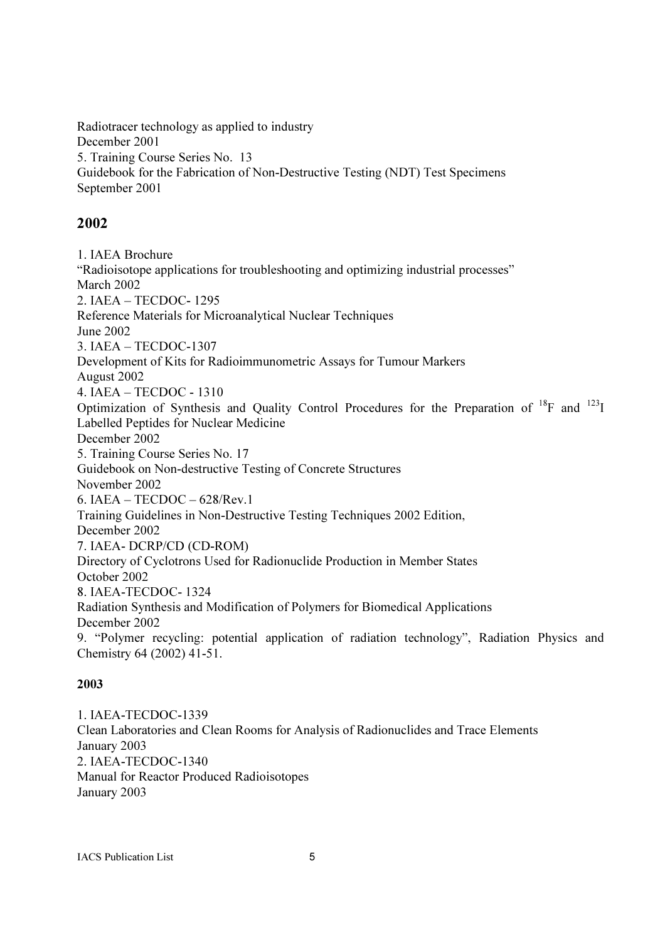Radiotracer technology as applied to industry December 2001 5. Training Course Series No. 13 Guidebook for the Fabrication of Non-Destructive Testing (NDT) Test Specimens September 2001

# 2002

1. IAEA Brochure "Radioisotope applications for troubleshooting and optimizing industrial processes" March 2002 2. IAEA – TECDOC- 1295 Reference Materials for Microanalytical Nuclear Techniques June 2002 3. IAEA – TECDOC-1307 Development of Kits for Radioimmunometric Assays for Tumour Markers August 2002 4. IAEA – TECDOC - 1310 Optimization of Synthesis and Quality Control Procedures for the Preparation of <sup>18</sup>F and <sup>123</sup>I Labelled Peptides for Nuclear Medicine December 2002 5. Training Course Series No. 17 Guidebook on Non-destructive Testing of Concrete Structures November 2002 6. IAEA – TECDOC – 628/Rev.1 Training Guidelines in Non-Destructive Testing Techniques 2002 Edition, December 2002 7. IAEA- DCRP/CD (CD-ROM) Directory of Cyclotrons Used for Radionuclide Production in Member States October 2002 8. IAEA-TECDOC- 1324 Radiation Synthesis and Modification of Polymers for Biomedical Applications December 2002 9. "Polymer recycling: potential application of radiation technology", Radiation Physics and Chemistry 64 (2002) 41-51.

## 2003

1. IAEA-TECDOC-1339 Clean Laboratories and Clean Rooms for Analysis of Radionuclides and Trace Elements January 2003 2. IAEA-TECDOC-1340 Manual for Reactor Produced Radioisotopes January 2003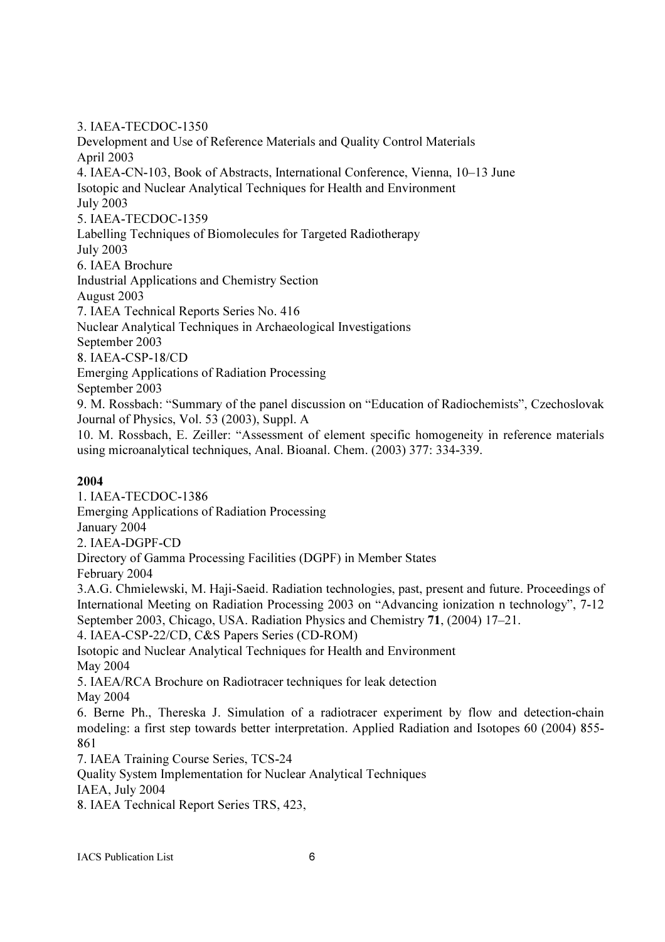#### 3. IAEA-TECDOC-1350

Development and Use of Reference Materials and Quality Control Materials April 2003 4. IAEA-CN-103, Book of Abstracts, International Conference, Vienna, 10–13 June Isotopic and Nuclear Analytical Techniques for Health and Environment July 2003 5. IAEA-TECDOC-1359 Labelling Techniques of Biomolecules for Targeted Radiotherapy July 2003 6. IAEA Brochure Industrial Applications and Chemistry Section August 2003 7. IAEA Technical Reports Series No. 416 Nuclear Analytical Techniques in Archaeological Investigations September 2003 8. IAEA-CSP-18/CD Emerging Applications of Radiation Processing September 2003 9. M. Rossbach: "Summary of the panel discussion on "Education of Radiochemists", Czechoslovak Journal of Physics, Vol. 53 (2003), Suppl. A 10. M. Rossbach, E. Zeiller: "Assessment of element specific homogeneity in reference materials using microanalytical techniques, Anal. Bioanal. Chem. (2003) 377: 334-339.

## 2004

1. IAEA-TECDOC-1386 Emerging Applications of Radiation Processing January 2004 2. IAEA-DGPF-CD Directory of Gamma Processing Facilities (DGPF) in Member States February 2004 3.A.G. Chmielewski, M. Haji-Saeid. Radiation technologies, past, present and future. Proceedings of International Meeting on Radiation Processing 2003 on "Advancing ionization n technology", 7-12 September 2003, Chicago, USA. Radiation Physics and Chemistry 71, (2004) 17–21. 4. IAEA-CSP-22/CD, C&S Papers Series (CD-ROM) Isotopic and Nuclear Analytical Techniques for Health and Environment May 2004 5. IAEA/RCA Brochure on Radiotracer techniques for leak detection May 2004 6. Berne Ph., Thereska J. Simulation of a radiotracer experiment by flow and detection-chain modeling: a first step towards better interpretation. Applied Radiation and Isotopes 60 (2004) 855- 861 7. IAEA Training Course Series, TCS-24 Quality System Implementation for Nuclear Analytical Techniques IAEA, July 2004

8. IAEA Technical Report Series TRS, 423,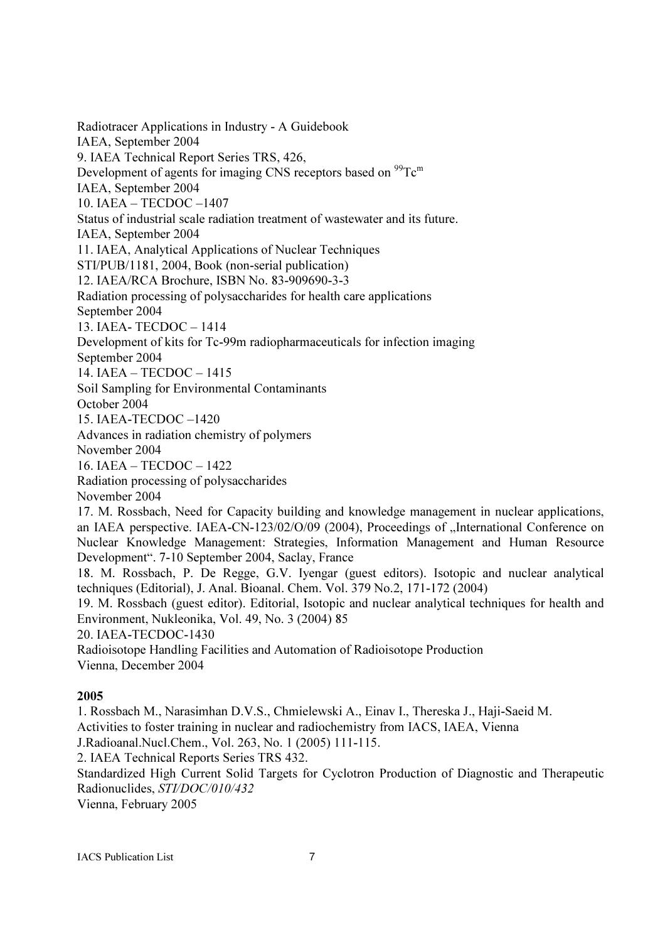Radiotracer Applications in Industry - A Guidebook IAEA, September 2004 9. IAEA Technical Report Series TRS, 426, Development of agents for imaging CNS receptors based on  $^{99}$ Tc<sup>m</sup> IAEA, September 2004 10. IAEA – TECDOC –1407 Status of industrial scale radiation treatment of wastewater and its future. IAEA, September 2004 11. IAEA, Analytical Applications of Nuclear Techniques STI/PUB/1181, 2004, Book (non-serial publication) 12. IAEA/RCA Brochure, ISBN No. 83-909690-3-3 Radiation processing of polysaccharides for health care applications September 2004 13. IAEA- TECDOC – 1414 Development of kits for Tc-99m radiopharmaceuticals for infection imaging September 2004 14. IAEA – TECDOC – 1415 Soil Sampling for Environmental Contaminants October 2004 15. IAEA-TECDOC –1420 Advances in radiation chemistry of polymers November 2004 16. IAEA – TECDOC – 1422 Radiation processing of polysaccharides November 2004 17. M. Rossbach, Need for Capacity building and knowledge management in nuclear applications, an IAEA perspective. IAEA-CN-123/02/O/09 (2004), Proceedings of "International Conference on Nuclear Knowledge Management: Strategies, Information Management and Human Resource Development". 7-10 September 2004, Saclay, France 18. M. Rossbach, P. De Regge, G.V. Iyengar (guest editors). Isotopic and nuclear analytical techniques (Editorial), J. Anal. Bioanal. Chem. Vol. 379 No.2, 171-172 (2004) 19. M. Rossbach (guest editor). Editorial, Isotopic and nuclear analytical techniques for health and Environment, Nukleonika, Vol. 49, No. 3 (2004) 85 20. IAEA-TECDOC-1430 Radioisotope Handling Facilities and Automation of Radioisotope Production Vienna, December 2004

#### 2005

1. Rossbach M., Narasimhan D.V.S., Chmielewski A., Einav I., Thereska J., Haji-Saeid M. Activities to foster training in nuclear and radiochemistry from IACS, IAEA, Vienna J.Radioanal.Nucl.Chem., Vol. 263, No. 1 (2005) 111-115. 2. IAEA Technical Reports Series TRS 432.

Standardized High Current Solid Targets for Cyclotron Production of Diagnostic and Therapeutic Radionuclides, STI/DOC/010/432

Vienna, February 2005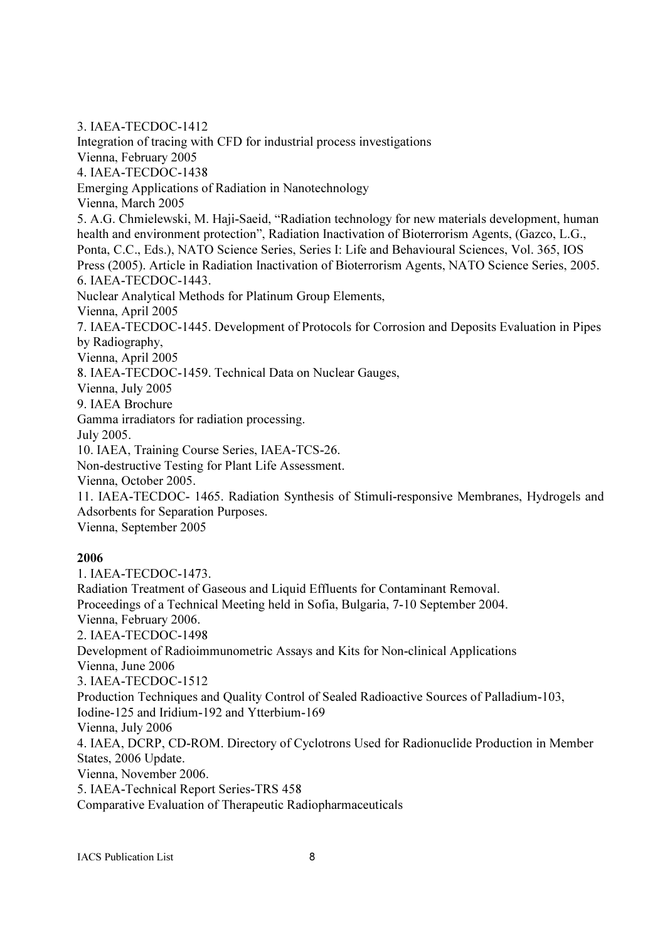3. IAEA-TECDOC-1412 Integration of tracing with CFD for industrial process investigations Vienna, February 2005 4. IAEA-TECDOC-1438 Emerging Applications of Radiation in Nanotechnology Vienna, March 2005 5. A.G. Chmielewski, M. Haji-Saeid, "Radiation technology for new materials development, human health and environment protection", Radiation Inactivation of Bioterrorism Agents, (Gazco, L.G., Ponta, C.C., Eds.), NATO Science Series, Series I: Life and Behavioural Sciences, Vol. 365, IOS Press (2005). Article in Radiation Inactivation of Bioterrorism Agents, NATO Science Series, 2005. 6. IAEA-TECDOC-1443. Nuclear Analytical Methods for Platinum Group Elements, Vienna, April 2005 7. IAEA-TECDOC-1445. Development of Protocols for Corrosion and Deposits Evaluation in Pipes by Radiography, Vienna, April 2005 8. IAEA-TECDOC-1459. Technical Data on Nuclear Gauges, Vienna, July 2005 9. IAEA Brochure Gamma irradiators for radiation processing. July 2005. 10. IAEA, Training Course Series, IAEA-TCS-26. Non-destructive Testing for Plant Life Assessment. Vienna, October 2005. 11. IAEA-TECDOC- 1465. Radiation Synthesis of Stimuli-responsive Membranes, Hydrogels and Adsorbents for Separation Purposes. Vienna, September 2005

#### 2006

1. IAEA-TECDOC-1473. Radiation Treatment of Gaseous and Liquid Effluents for Contaminant Removal. Proceedings of a Technical Meeting held in Sofia, Bulgaria, 7-10 September 2004. Vienna, February 2006. 2. IAEA-TECDOC-1498 Development of Radioimmunometric Assays and Kits for Non-clinical Applications Vienna, June 2006 3. IAEA-TECDOC-1512 Production Techniques and Quality Control of Sealed Radioactive Sources of Palladium-103, Iodine-125 and Iridium-192 and Ytterbium-169 Vienna, July 2006 4. IAEA, DCRP, CD-ROM. Directory of Cyclotrons Used for Radionuclide Production in Member States, 2006 Update. Vienna, November 2006. 5. IAEA-Technical Report Series-TRS 458 Comparative Evaluation of Therapeutic Radiopharmaceuticals